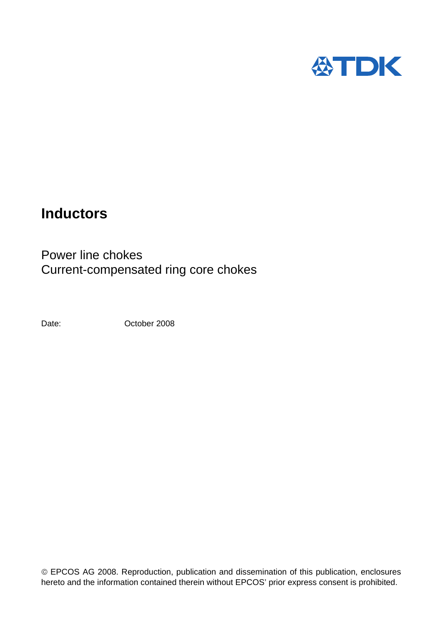

# **Inductors**

Power line chokes Current-compensated ring core chokes

Date:

October 2008

© EPCOS AG 2008. Reproduction, publication and dissemination of this publication, enclosures hereto and the information contained therein without EPCOS' prior express consent is prohibited.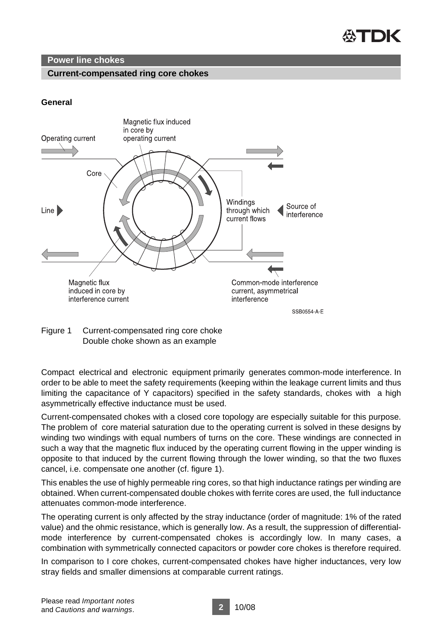

# **Power line chokes**

# **Current-compensated ring core chokes**

# **General**



Figure 1 Current-compensated ring core choke Double choke shown as an example

Compact electrical and electronic equipment primarily generates common-mode interference. In order to be able to meet the safety requirements (keeping within the leakage current limits and thus limiting the capacitance of Y capacitors) specified in the safety standards, chokes with a high asymmetrically effective inductance must be used.

Current-compensated chokes with a closed core topology are especially suitable for this purpose. The problem of core material saturation due to the operating current is solved in these designs by winding two windings with equal numbers of turns on the core. These windings are connected in such a way that the magnetic flux induced by the operating current flowing in the upper winding is opposite to that induced by the current flowing through the lower winding, so that the two fluxes cancel, i.e. compensate one another (cf. figure 1).

This enables the use of highly permeable ring cores, so that high inductance ratings per winding are obtained. When current-compensated double chokes with ferrite cores are used, the full inductance attenuates common-mode interference.

The operating current is only affected by the stray inductance (order of magnitude: 1% of the rated value) and the ohmic resistance, which is generally low. As a result, the suppression of differentialmode interference by current-compensated chokes is accordingly low. In many cases, a combination with symmetrically connected capacitors or powder core chokes is therefore required.

In comparison to I core chokes, current-compensated chokes have higher inductances, very low stray fields and smaller dimensions at comparable current ratings.